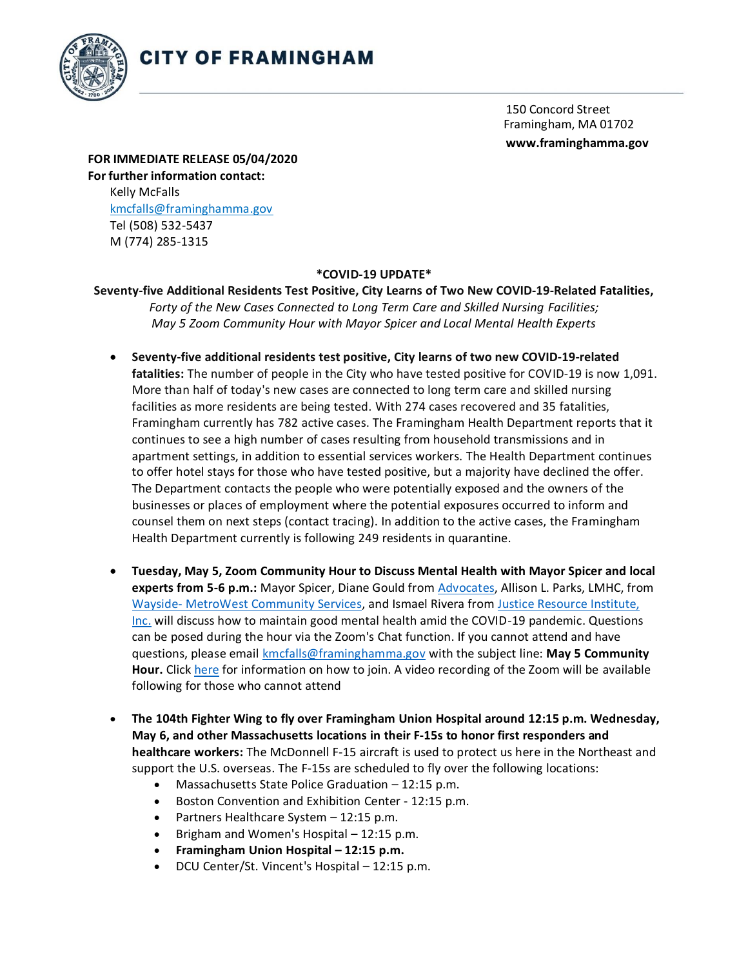

150 Concord Street Framingham, MA 01702 **[www.framinghamma.gov](http://www.framinghamma.gov/)**

**FOR IMMEDIATE RELEASE 05/04/2020 For further information contact:** Kelly McFalls [kmcfalls@framinghamma.gov](mailto:kmcfalls@framinghamma.gov) Tel (508) 532-5437 M (774) 285-1315

## **\*COVID-19 UPDATE\***

## **Seventy-five Additional Residents Test Positive, City Learns of Two New COVID-19-Related Fatalities,** *Forty of the New Cases Connected to Long Term Care and Skilled Nursing Facilities; May 5 Zoom Community Hour with Mayor Spicer and Local Mental Health Experts*

- **Seventy-five additional residents test positive, City learns of two new COVID-19-related fatalities:** The number of people in the City who have tested positive for COVID-19 is now 1,091. More than half of today's new cases are connected to long term care and skilled nursing facilities as more residents are being tested. With 274 cases recovered and 35 fatalities, Framingham currently has 782 active cases. The Framingham Health Department reports that it continues to see a high number of cases resulting from household transmissions and in apartment settings, in addition to essential services workers. The Health Department continues to offer hotel stays for those who have tested positive, but a majority have declined the offer. The Department contacts the people who were potentially exposed and the owners of the businesses or places of employment where the potential exposures occurred to inform and counsel them on next steps (contact tracing). In addition to the active cases, the Framingham Health Department currently is following 249 residents in quarantine.
- **Tuesday, May 5, Zoom Community Hour to Discuss Mental Health with Mayor Spicer and local experts from 5-6 p.m.:** Mayor Spicer, Diane Gould from [Advocates,](https://www.advocates.org/) Allison L. Parks, LMHC, from [Wayside-](https://www.waysideyouth.org/services/waysidemetrowest/) [MetroWest Community Services,](https://www.waysideyouth.org/services/waysidemetrowest/) and Ismael Rivera fr[om Justice Resource Institute,](https://jri.org/) [Inc.](https://jri.org/) [w](https://jri.org/)ill discuss how to maintain good mental health amid the COVID-19 pandemic. Questions can be posed during the hour via the Zoom's Chat function. If you cannot attend and have questions, please email kmcfalls@framinghamma.gov with the subject line: **May 5 Community Hour.** Click [here](https://www.framinghamma.gov/Calendar.aspx?EID=38419) for information on how to join. A video recording of the Zoom will be available following for those who cannot attend
- **The 104th Fighter Wing to fly over Framingham Union Hospital around 12:15 p.m. Wednesday, May 6, and other Massachusetts locations in their F-15s to honor first responders and healthcare workers:** The McDonnell F-15 aircraft is used to protect us here in the Northeast and support the U.S. overseas. The F-15s are scheduled to fly over the following locations:
	- Massachusetts State Police Graduation 12:15 p.m.
	- Boston Convention and Exhibition Center 12:15 p.m.
	- Partners Healthcare System 12:15 p.m.
	- $\bullet$  Brigham and Women's Hospital  $-12:15$  p.m.
	- **Framingham Union Hospital – 12:15 p.m.**
	- DCU Center/St. Vincent's Hospital 12:15 p.m.